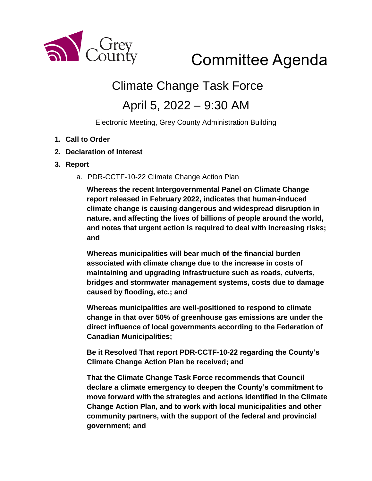

# Committee Agenda

## Climate Change Task Force

### April 5, 2022 – 9:30 AM

Electronic Meeting, Grey County Administration Building

- **1. Call to Order**
- **2. Declaration of Interest**
- **3. Report** 
	- a. PDR-CCTF-10-22 Climate Change Action Plan

**Whereas the recent Intergovernmental Panel on Climate Change report released in February 2022, indicates that human-induced climate change is causing dangerous and widespread disruption in nature, and affecting the lives of billions of people around the world, and notes that urgent action is required to deal with increasing risks; and**

**Whereas municipalities will bear much of the financial burden associated with climate change due to the increase in costs of maintaining and upgrading infrastructure such as roads, culverts, bridges and stormwater management systems, costs due to damage caused by flooding, etc.; and**

**Whereas municipalities are well-positioned to respond to climate change in that over 50% of greenhouse gas emissions are under the direct influence of local governments according to the Federation of Canadian Municipalities;** 

**Be it Resolved That report PDR-CCTF-10-22 regarding the County's Climate Change Action Plan be received; and**

**That the Climate Change Task Force recommends that Council declare a climate emergency to deepen the County's commitment to move forward with the strategies and actions identified in the Climate Change Action Plan, and to work with local municipalities and other community partners, with the support of the federal and provincial government; and**